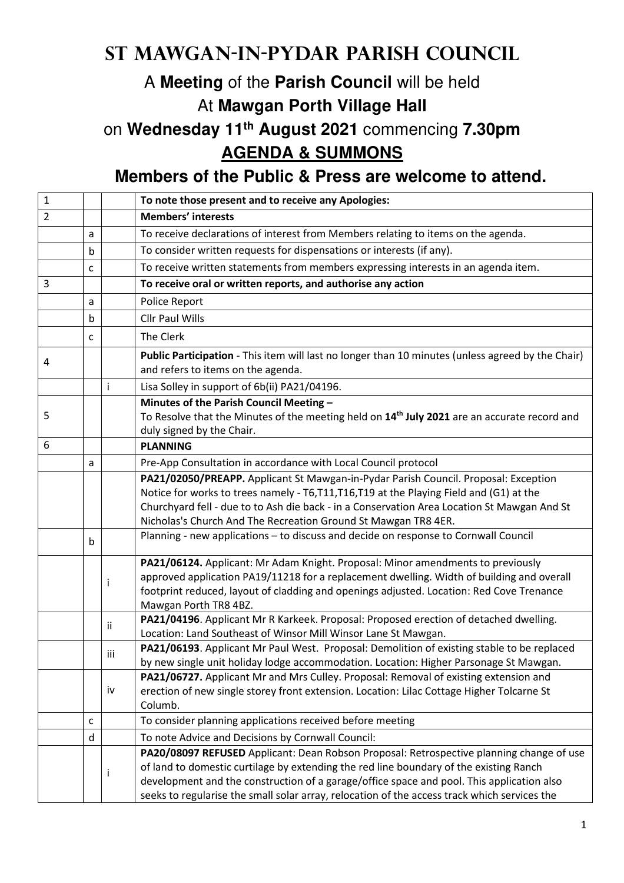## **St Mawgan-in-Pydar Parish Council**

## A **Meeting** of the **Parish Council** will be held At **Mawgan Porth Village Hall**

## on **Wednesday 11th August 2021** commencing **7.30pm AGENDA & SUMMONS**

## **Members of the Public & Press are welcome to attend.**

| $\mathbf{1}$   |   |     | To note those present and to receive any Apologies:                                                                                                                                                                                                                                                                                                                             |
|----------------|---|-----|---------------------------------------------------------------------------------------------------------------------------------------------------------------------------------------------------------------------------------------------------------------------------------------------------------------------------------------------------------------------------------|
| $\overline{2}$ |   |     | <b>Members' interests</b>                                                                                                                                                                                                                                                                                                                                                       |
|                | a |     | To receive declarations of interest from Members relating to items on the agenda.                                                                                                                                                                                                                                                                                               |
|                | b |     | To consider written requests for dispensations or interests (if any).                                                                                                                                                                                                                                                                                                           |
|                | c |     | To receive written statements from members expressing interests in an agenda item.                                                                                                                                                                                                                                                                                              |
| 3              |   |     | To receive oral or written reports, and authorise any action                                                                                                                                                                                                                                                                                                                    |
|                | a |     | Police Report                                                                                                                                                                                                                                                                                                                                                                   |
|                | b |     | <b>Cllr Paul Wills</b>                                                                                                                                                                                                                                                                                                                                                          |
|                | c |     | The Clerk                                                                                                                                                                                                                                                                                                                                                                       |
| 4              |   |     | Public Participation - This item will last no longer than 10 minutes (unless agreed by the Chair)<br>and refers to items on the agenda.                                                                                                                                                                                                                                         |
|                |   | Ť   | Lisa Solley in support of 6b(ii) PA21/04196.                                                                                                                                                                                                                                                                                                                                    |
| 5              |   |     | Minutes of the Parish Council Meeting -<br>To Resolve that the Minutes of the meeting held on 14 <sup>th</sup> July 2021 are an accurate record and<br>duly signed by the Chair.                                                                                                                                                                                                |
| 6              |   |     | <b>PLANNING</b>                                                                                                                                                                                                                                                                                                                                                                 |
|                | a |     | Pre-App Consultation in accordance with Local Council protocol                                                                                                                                                                                                                                                                                                                  |
|                |   |     | PA21/02050/PREAPP. Applicant St Mawgan-in-Pydar Parish Council. Proposal: Exception<br>Notice for works to trees namely - T6,T11,T16,T19 at the Playing Field and (G1) at the<br>Churchyard fell - due to to Ash die back - in a Conservation Area Location St Mawgan And St<br>Nicholas's Church And The Recreation Ground St Mawgan TR8 4ER.                                  |
|                | b |     | Planning - new applications - to discuss and decide on response to Cornwall Council                                                                                                                                                                                                                                                                                             |
|                |   |     | PA21/06124. Applicant: Mr Adam Knight. Proposal: Minor amendments to previously<br>approved application PA19/11218 for a replacement dwelling. Width of building and overall<br>footprint reduced, layout of cladding and openings adjusted. Location: Red Cove Trenance<br>Mawgan Porth TR8 4BZ.                                                                               |
|                |   | Ϊİ  | PA21/04196. Applicant Mr R Karkeek. Proposal: Proposed erection of detached dwelling.<br>Location: Land Southeast of Winsor Mill Winsor Lane St Mawgan.                                                                                                                                                                                                                         |
|                |   | iii | PA21/06193. Applicant Mr Paul West. Proposal: Demolition of existing stable to be replaced<br>by new single unit holiday lodge accommodation. Location: Higher Parsonage St Mawgan.                                                                                                                                                                                             |
|                |   | iv  | PA21/06727. Applicant Mr and Mrs Culley. Proposal: Removal of existing extension and<br>erection of new single storey front extension. Location: Lilac Cottage Higher Tolcarne St<br>Columb.                                                                                                                                                                                    |
|                | C |     | To consider planning applications received before meeting                                                                                                                                                                                                                                                                                                                       |
|                | d |     | To note Advice and Decisions by Cornwall Council:                                                                                                                                                                                                                                                                                                                               |
|                |   | Ť   | PA20/08097 REFUSED Applicant: Dean Robson Proposal: Retrospective planning change of use<br>of land to domestic curtilage by extending the red line boundary of the existing Ranch<br>development and the construction of a garage/office space and pool. This application also<br>seeks to regularise the small solar array, relocation of the access track which services the |